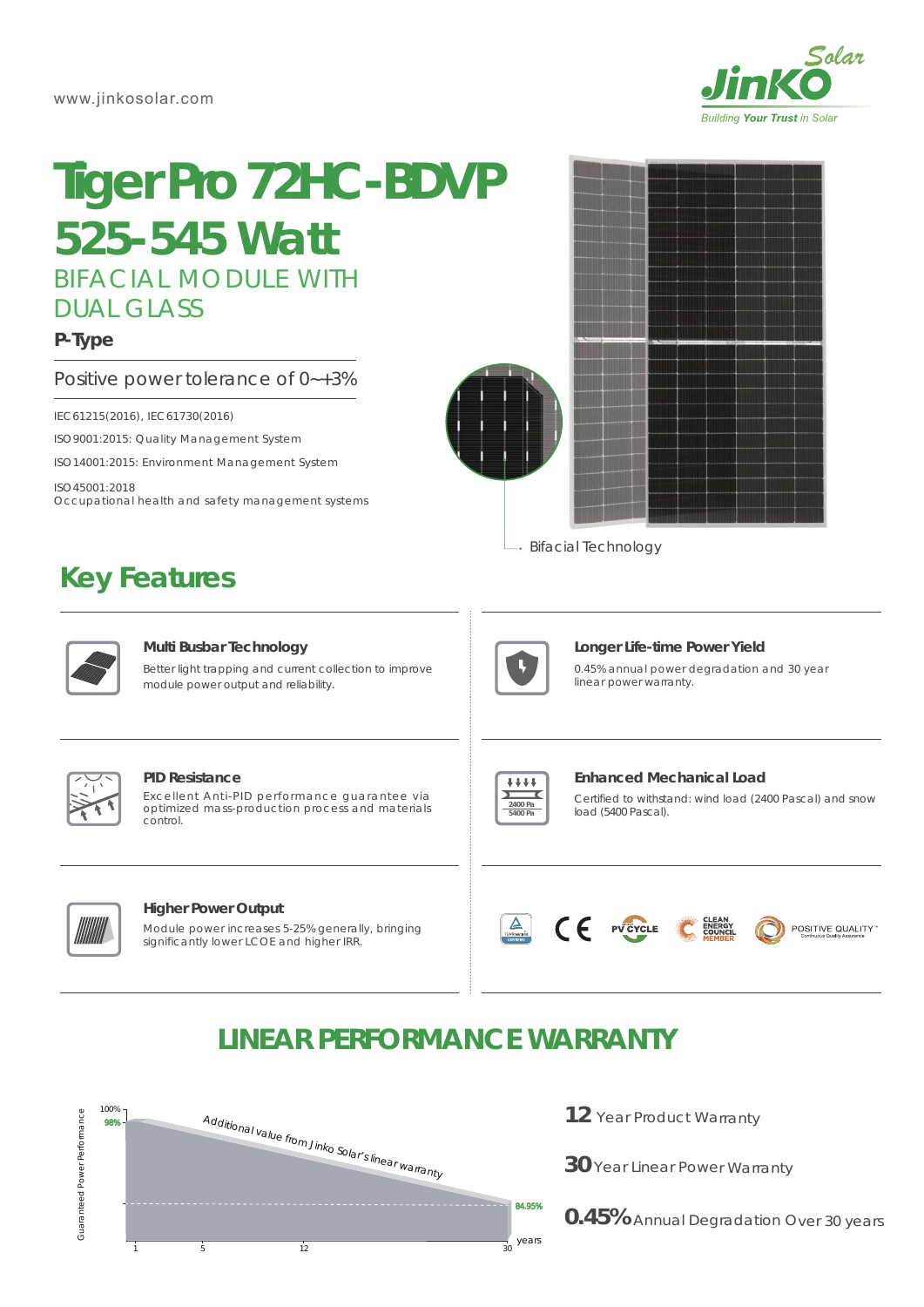

# BIFACIAL MODULE WITH DUAL GLASS **Tiger Pro 72HC-BDVP** *525-545 Watt*

### **P-Type**

Positive power tolerance of 0~+3%

IEC61215(2016), IEC61730(2016)

ISO9001:2015: Quality Management System

ISO14001:2015: Environment Management System

ISO45001:2018

Occupational health and safety management systems

## **Key Features**



→ Bifacial Technology



#### **Multi Busbar Technology**

Better light trapping and current collection to improve module power output and reliability.



#### **Longer Life-time Power Yield**

0.45% annual power degradation and 30 year linear power warranty.



#### **PID Resistance**

Excellent Anti-PID performance guarantee via optimized mass-production process and materials control.



### **Enhanced Mechanical Load**

Certified to withstand: wind load (2400 Pascal) and snow load (5400 Pascal).



#### **Higher Power Output**

Module power increases 5-25% generally, bringing significantly lower LCOE and higher IRR.



## POSITIVE QUALITY"

## **LINEAR PERFORMANCE WARRANTY**



- 12 Year Product Warranty
- **30** Year Linear Power Warranty

**0.45%** Annual Degradation Over 30 years